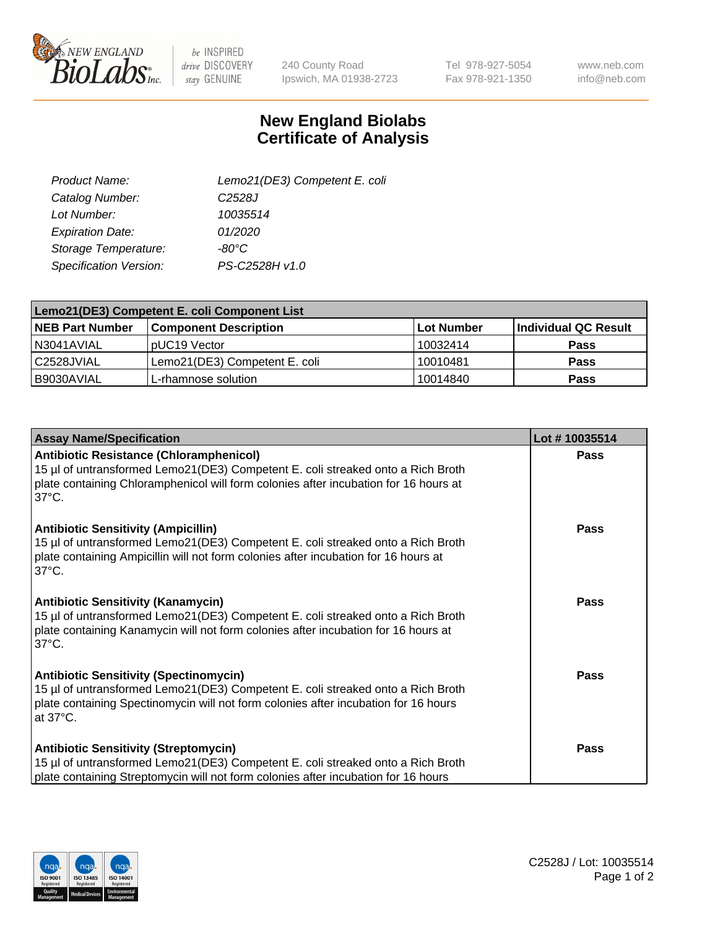

 $be$  INSPIRED drive DISCOVERY stay GENUINE

240 County Road Ipswich, MA 01938-2723 Tel 978-927-5054 Fax 978-921-1350

www.neb.com info@neb.com

## **New England Biolabs Certificate of Analysis**

| Product Name:           | Lemo21(DE3) Competent E. coli |
|-------------------------|-------------------------------|
| Catalog Number:         | C <sub>2528</sub> J           |
| Lot Number:             | 10035514                      |
| <b>Expiration Date:</b> | 01/2020                       |
| Storage Temperature:    | $-80^{\circ}$ C               |
| Specification Version:  | PS-C2528H v1.0                |

| Lemo21(DE3) Competent E. coli Component List |                               |                   |                      |  |
|----------------------------------------------|-------------------------------|-------------------|----------------------|--|
| <b>NEB Part Number</b>                       | <b>Component Description</b>  | <b>Lot Number</b> | Individual QC Result |  |
| I N3041AVIAL                                 | IpUC19 Vector                 | 10032414          | Pass                 |  |
| C2528JVIAL                                   | Lemo21(DE3) Competent E. coli | 10010481          | <b>Pass</b>          |  |
| B9030AVIAL                                   | L-rhamnose solution           | 10014840          | <b>Pass</b>          |  |

| <b>Assay Name/Specification</b>                                                                                                                                                                                                              | Lot #10035514 |
|----------------------------------------------------------------------------------------------------------------------------------------------------------------------------------------------------------------------------------------------|---------------|
| <b>Antibiotic Resistance (Chloramphenicol)</b><br>15 µl of untransformed Lemo21(DE3) Competent E. coli streaked onto a Rich Broth<br>plate containing Chloramphenicol will form colonies after incubation for 16 hours at<br>$37^{\circ}$ C. | Pass          |
| <b>Antibiotic Sensitivity (Ampicillin)</b><br>15 µl of untransformed Lemo21(DE3) Competent E. coli streaked onto a Rich Broth<br>plate containing Ampicillin will not form colonies after incubation for 16 hours at<br>$37^{\circ}$ C.      | Pass          |
| <b>Antibiotic Sensitivity (Kanamycin)</b><br>15 µl of untransformed Lemo21(DE3) Competent E. coli streaked onto a Rich Broth<br>plate containing Kanamycin will not form colonies after incubation for 16 hours at<br>$37^{\circ}$ C.        | <b>Pass</b>   |
| <b>Antibiotic Sensitivity (Spectinomycin)</b><br>15 µl of untransformed Lemo21(DE3) Competent E. coli streaked onto a Rich Broth<br>plate containing Spectinomycin will not form colonies after incubation for 16 hours<br>at 37°C.          | Pass          |
| <b>Antibiotic Sensitivity (Streptomycin)</b><br>15 µl of untransformed Lemo21(DE3) Competent E. coli streaked onto a Rich Broth<br>plate containing Streptomycin will not form colonies after incubation for 16 hours                        | <b>Pass</b>   |